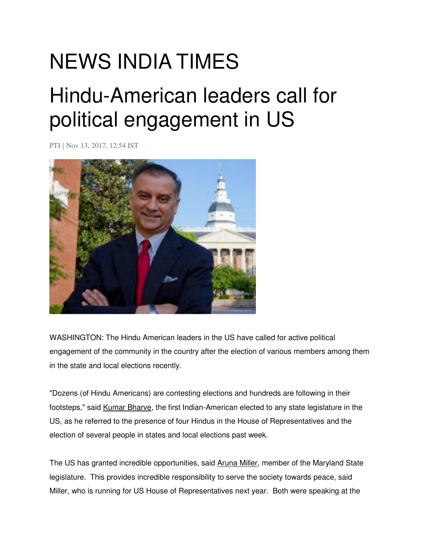## NEWS INDIA TIMES

## Hindu-American leaders call for political engagement in US

PTI | Nov 13, 2017, 12:54 IST



WASHINGTON: The Hindu American leaders in the US have called for active political engagement of the community in the country after the election of various members among them in the state and local elections recently.

"Dozens (of Hindu Americans) are contesting elections and hundreds are following in their footsteps," said Kumar Bharve, the first Indian-American elected to any state legislature in the US, as he referred to the presence of four Hindus in the House of Representatives and the election of several people in states and local elections past week.

The US has granted incredible opportunities, said Aruna Miller, member of the Maryland State legislature. This provides incredible responsibility to serve the society towards peace, said Miller, who is running for US House of Representatives next year. Both were speaking at the